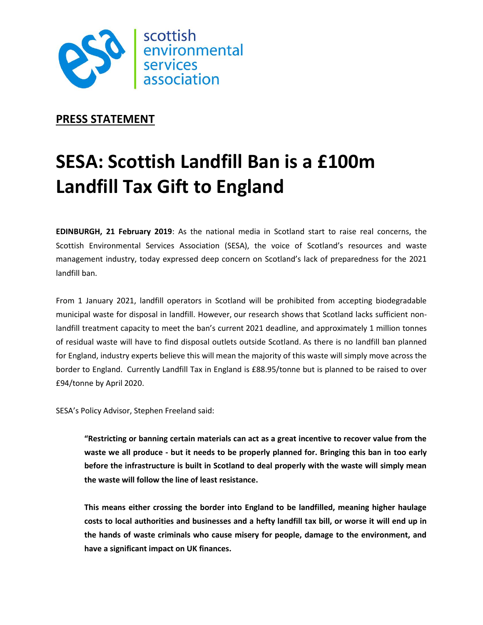

## **PRESS STATEMENT**

# **SESA: Scottish Landfill Ban is a £100m Landfill Tax Gift to England**

**EDINBURGH, 21 February 2019**: As the national media in Scotland start to raise real concerns, the Scottish Environmental Services Association (SESA), the voice of Scotland's resources and waste management industry, today expressed deep concern on Scotland's lack of preparedness for the 2021 landfill ban.

From 1 January 2021, landfill operators in Scotland will be prohibited from accepting biodegradable municipal waste for disposal in landfill. However, our research shows that Scotland lacks sufficient nonlandfill treatment capacity to meet the ban's current 2021 deadline, and approximately 1 million tonnes of residual waste will have to find disposal outlets outside Scotland. As there is no landfill ban planned for England, industry experts believe this will mean the majority of this waste will simply move across the border to England. Currently Landfill Tax in England is £88.95/tonne but is planned to be raised to over £94/tonne by April 2020.

SESA's Policy Advisor, Stephen Freeland said:

**"Restricting or banning certain materials can act as a great incentive to recover value from the waste we all produce - but it needs to be properly planned for. Bringing this ban in too early before the infrastructure is built in Scotland to deal properly with the waste will simply mean the waste will follow the line of least resistance.**

**This means either crossing the border into England to be landfilled, meaning higher haulage costs to local authorities and businesses and a hefty landfill tax bill, or worse it will end up in the hands of waste criminals who cause misery for people, damage to the environment, and have a significant impact on UK finances.**